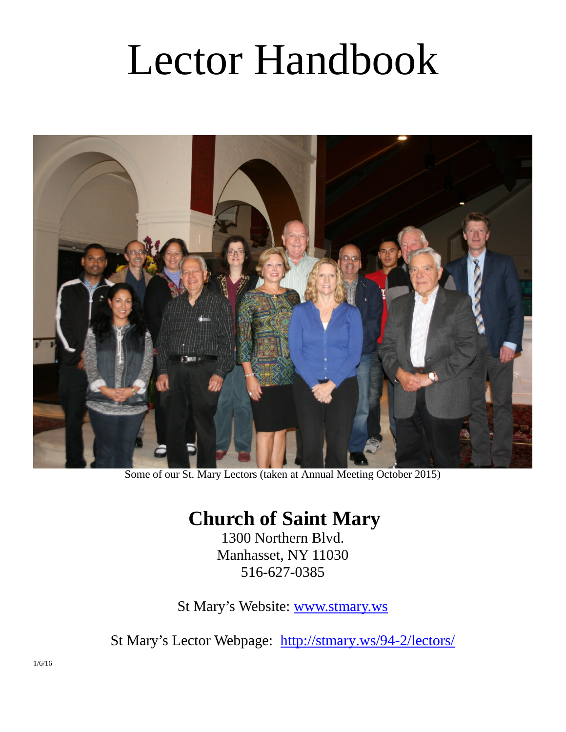# Lector Handbook



Some of our St. Mary Lectors (taken at Annual Meeting October 2015)

# **Church of Saint Mary**

1300 Northern Blvd. Manhasset, NY 11030 516-627-0385

St Mary's Website: [www.stmary.ws](http://www.stmary.ws/)

St Mary's Lector Webpage: <http://stmary.ws/94-2/lectors/>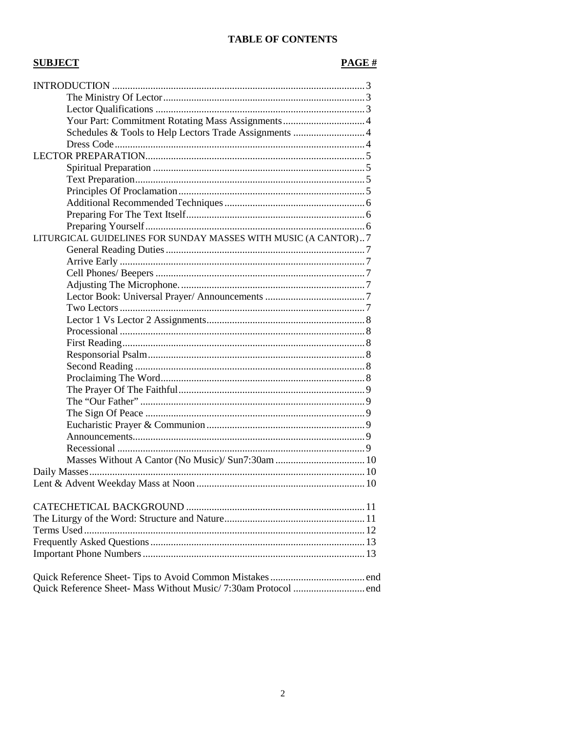# TABLE OF CONTENTS

# **SUBJECT**

# $PAGE #$

| Schedules & Tools to Help Lectors Trade Assignments  4         |  |  |
|----------------------------------------------------------------|--|--|
|                                                                |  |  |
|                                                                |  |  |
|                                                                |  |  |
|                                                                |  |  |
|                                                                |  |  |
|                                                                |  |  |
|                                                                |  |  |
|                                                                |  |  |
| LITURGICAL GUIDELINES FOR SUNDAY MASSES WITH MUSIC (A CANTOR)7 |  |  |
|                                                                |  |  |
|                                                                |  |  |
|                                                                |  |  |
|                                                                |  |  |
|                                                                |  |  |
|                                                                |  |  |
|                                                                |  |  |
|                                                                |  |  |
|                                                                |  |  |
|                                                                |  |  |
|                                                                |  |  |
|                                                                |  |  |
|                                                                |  |  |
|                                                                |  |  |
|                                                                |  |  |
|                                                                |  |  |
|                                                                |  |  |
|                                                                |  |  |
|                                                                |  |  |
|                                                                |  |  |
|                                                                |  |  |
|                                                                |  |  |
|                                                                |  |  |
|                                                                |  |  |
|                                                                |  |  |
|                                                                |  |  |
|                                                                |  |  |
|                                                                |  |  |
|                                                                |  |  |
|                                                                |  |  |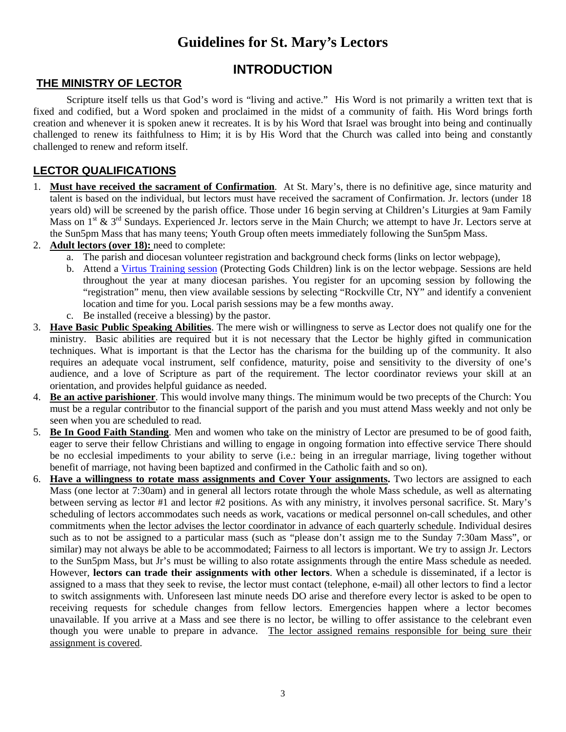# **Guidelines for St. Mary's Lectors**

# **INTRODUCTION**

# **THE MINISTRY OF LECTOR**

Scripture itself tells us that God's word is "living and active." His Word is not primarily a written text that is fixed and codified, but a Word spoken and proclaimed in the midst of a community of faith. His Word brings forth creation and whenever it is spoken anew it recreates. It is by his Word that Israel was brought into being and continually challenged to renew its faithfulness to Him; it is by His Word that the Church was called into being and constantly challenged to renew and reform itself.

# **LECTOR QUALIFICATIONS**

- 1. **Must have received the sacrament of Confirmation**. At St. Mary's, there is no definitive age, since maturity and talent is based on the individual, but lectors must have received the sacrament of Confirmation. Jr. lectors (under 18 years old) will be screened by the parish office. Those under 16 begin serving at Children's Liturgies at 9am Family Mass on  $1^{st}$  &  $3^{rd}$  Sundays. Experienced Jr. lectors serve in the Main Church; we attempt to have Jr. Lectors serve at the Sun5pm Mass that has many teens; Youth Group often meets immediately following the Sun5pm Mass.
- 2. **Adult lectors (over 18):** need to complete:
	- a. The parish and diocesan volunteer registration and background check forms (links on lector webpage),
	- b. Attend a [Virtus Training session](http://www.virtus.org/virtus/) (Protecting Gods Children) link is on the lector webpage. Sessions are held throughout the year at many diocesan parishes. You register for an upcoming session by following the "registration" menu, then view available sessions by selecting "Rockville Ctr, NY" and identify a convenient location and time for you. Local parish sessions may be a few months away.
	- c. Be installed (receive a blessing) by the pastor.
- 3. **Have Basic Public Speaking Abilities**. The mere wish or willingness to serve as Lector does not qualify one for the ministry. Basic abilities are required but it is not necessary that the Lector be highly gifted in communication techniques. What is important is that the Lector has the charisma for the building up of the community. It also requires an adequate vocal instrument, self confidence, maturity, poise and sensitivity to the diversity of one's audience, and a love of Scripture as part of the requirement. The lector coordinator reviews your skill at an orientation, and provides helpful guidance as needed.
- 4. **Be an active parishioner**. This would involve many things. The minimum would be two precepts of the Church: You must be a regular contributor to the financial support of the parish and you must attend Mass weekly and not only be seen when you are scheduled to read.
- 5. **Be In Good Faith Standing**. Men and women who take on the ministry of Lector are presumed to be of good faith, eager to serve their fellow Christians and willing to engage in ongoing formation into effective service There should be no ecclesial impediments to your ability to serve (i.e.: being in an irregular marriage, living together without benefit of marriage, not having been baptized and confirmed in the Catholic faith and so on).
- 6. **Have a willingness to rotate mass assignments and Cover Your assignments.** Two lectors are assigned to each Mass (one lector at 7:30am) and in general all lectors rotate through the whole Mass schedule, as well as alternating between serving as lector #1 and lector #2 positions. As with any ministry, it involves personal sacrifice. St. Mary's scheduling of lectors accommodates such needs as work, vacations or medical personnel on-call schedules, and other commitments when the lector advises the lector coordinator in advance of each quarterly schedule. Individual desires such as to not be assigned to a particular mass (such as "please don't assign me to the Sunday 7:30am Mass", or similar) may not always be able to be accommodated; Fairness to all lectors is important. We try to assign Jr. Lectors to the Sun5pm Mass, but Jr's must be willing to also rotate assignments through the entire Mass schedule as needed. However, **lectors can trade their assignments with other lectors**. When a schedule is disseminated, if a lector is assigned to a mass that they seek to revise, the lector must contact (telephone, e-mail) all other lectors to find a lector to switch assignments with. Unforeseen last minute needs DO arise and therefore every lector is asked to be open to receiving requests for schedule changes from fellow lectors. Emergencies happen where a lector becomes unavailable. If you arrive at a Mass and see there is no lector, be willing to offer assistance to the celebrant even though you were unable to prepare in advance. The lector assigned remains responsible for being sure their assignment is covered.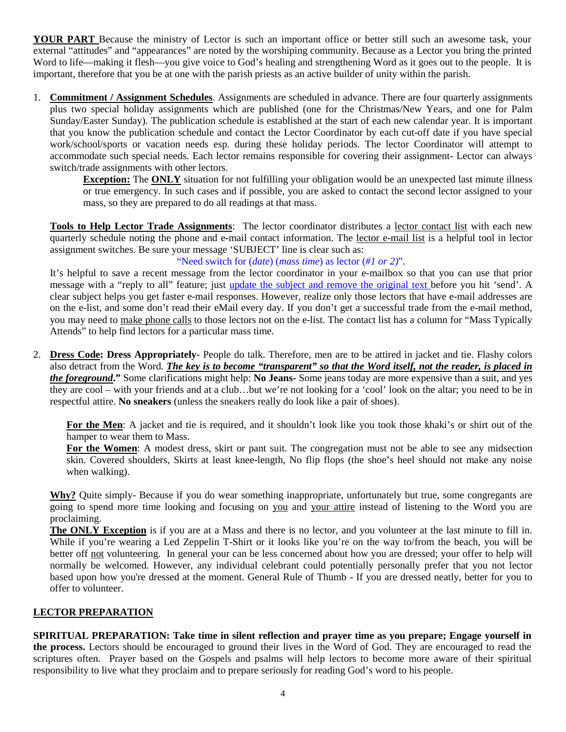**YOUR PART** Because the ministry of Lector is such an important office or better still such an awesome task, your external "attitudes" and "appearances" are noted by the worshiping community. Because as a Lector you bring the printed Word to life—making it flesh—you give voice to God's healing and strengthening Word as it goes out to the people. It is important, therefore that you be at one with the parish priests as an active builder of unity within the parish.

1. **Commitment / Assignment Schedules**. Assignments are scheduled in advance. There are four quarterly assignments plus two special holiday assignments which are published (one for the Christmas/New Years, and one for Palm Sunday/Easter Sunday). The publication schedule is established at the start of each new calendar year. It is important that you know the publication schedule and contact the Lector Coordinator by each cut-off date if you have special work/school/sports or vacation needs esp. during these holiday periods. The lector Coordinator will attempt to accommodate such special needs. Each lector remains responsible for covering their assignment- Lector can always switch/trade assignments with other lectors.

**Exception:** The **ONLY** situation for not fulfilling your obligation would be an unexpected last minute illness or true emergency. In such cases and if possible, you are asked to contact the second lector assigned to your mass, so they are prepared to do all readings at that mass.

**Tools to Help Lector Trade Assignments**: The lector coordinator distributes a lector contact list with each new quarterly schedule noting the phone and e-mail contact information. The lector e-mail list is a helpful tool in lector assignment switches. Be sure your message 'SUBJECT' line is clear such as:

"Need switch for (*date*) (*mass time*) as lector (*#1 or 2)*".

It's helpful to save a recent message from the lector coordinator in your e-mailbox so that you can use that prior message with a "reply to all" feature; just update the subject and remove the original text before you hit 'send'. A clear subject helps you get faster e-mail responses. However, realize only those lectors that have e-mail addresses are on the e-list, and some don't read their eMail every day. If you don't get a successful trade from the e-mail method, you may need to make phone calls to those lectors not on the e-list. The contact list has a column for "Mass Typically Attends" to help find lectors for a particular mass time.

2. **Dress Code: Dress Appropriately**- People do talk. Therefore, men are to be attired in jacket and tie. Flashy colors also detract from the Word. *The key is to become "transparent" so that the Word itself, not the reader, is placed in the foreground***."** Some clarifications might help: **No Jeans-** Some jeans today are more expensive than a suit, and yes they are cool – with your friends and at a club…but we're not looking for a 'cool' look on the altar; you need to be in respectful attire. **No sneakers** (unless the sneakers really do look like a pair of shoes).

**For the Men**: A jacket and tie is required, and it shouldn't look like you took those khaki's or shirt out of the hamper to wear them to Mass.

**For the Women**: A modest dress, skirt or pant suit. The congregation must not be able to see any midsection skin. Covered shoulders, Skirts at least knee-length, No flip flops (the shoe's heel should not make any noise when walking).

**Why?** Quite simply- Because if you do wear something inappropriate, unfortunately but true, some congregants are going to spend more time looking and focusing on you and your attire instead of listening to the Word you are proclaiming.

**The ONLY Exception** is if you are at a Mass and there is no lector, and you volunteer at the last minute to fill in. While if you're wearing a Led Zeppelin T-Shirt or it looks like you're on the way to/from the beach, you will be better off not volunteering. In general your can be less concerned about how you are dressed; your offer to help will normally be welcomed. However, any individual celebrant could potentially personally prefer that you not lector based upon how you're dressed at the moment. General Rule of Thumb - If you are dressed neatly, better for you to offer to volunteer.

# **LECTOR PREPARATION**

**SPIRITUAL PREPARATION: Take time in silent reflection and prayer time as you prepare; Engage yourself in the process.** Lectors should be encouraged to ground their lives in the Word of God. They are encouraged to read the scriptures often. Prayer based on the Gospels and psalms will help lectors to become more aware of their spiritual responsibility to live what they proclaim and to prepare seriously for reading God's word to his people.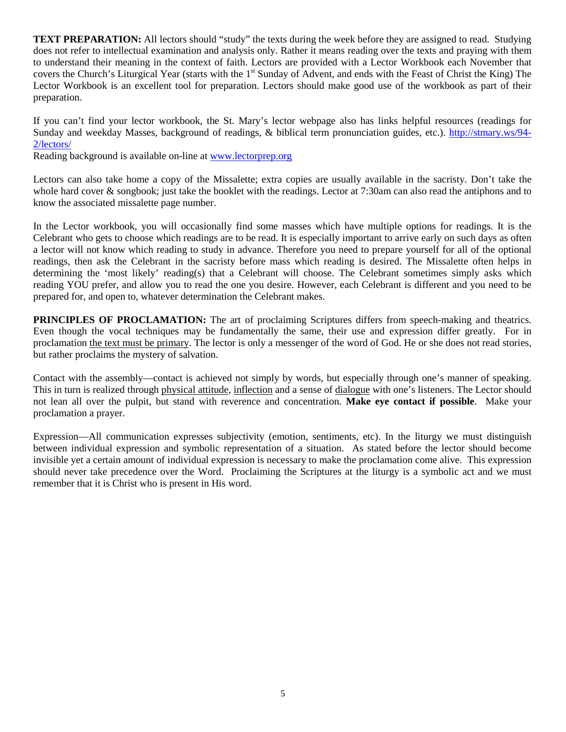**TEXT PREPARATION:** All lectors should "study" the texts during the week before they are assigned to read. Studying does not refer to intellectual examination and analysis only. Rather it means reading over the texts and praying with them to understand their meaning in the context of faith. Lectors are provided with a Lector Workbook each November that covers the Church's Liturgical Year (starts with the 1<sup>st</sup> Sunday of Advent, and ends with the Feast of Christ the King) The Lector Workbook is an excellent tool for preparation. Lectors should make good use of the workbook as part of their preparation.

If you can't find your lector workbook, the St. Mary's lector webpage also has links helpful resources (readings for Sunday and weekday Masses, background of readings, & biblical term pronunciation guides, etc.). [http://stmary.ws/94-](http://stmary.ws/94-2/lectors/) [2/lectors/](http://stmary.ws/94-2/lectors/)

Reading background is available on-line at [www.lectorprep.org](http://www.lectorprep.org/)

Lectors can also take home a copy of the Missalette; extra copies are usually available in the sacristy. Don't take the whole hard cover & songbook; just take the booklet with the readings. Lector at 7:30am can also read the antiphons and to know the associated missalette page number.

In the Lector workbook, you will occasionally find some masses which have multiple options for readings. It is the Celebrant who gets to choose which readings are to be read. It is especially important to arrive early on such days as often a lector will not know which reading to study in advance. Therefore you need to prepare yourself for all of the optional readings, then ask the Celebrant in the sacristy before mass which reading is desired. The Missalette often helps in determining the 'most likely' reading(s) that a Celebrant will choose. The Celebrant sometimes simply asks which reading YOU prefer, and allow you to read the one you desire. However, each Celebrant is different and you need to be prepared for, and open to, whatever determination the Celebrant makes.

**PRINCIPLES OF PROCLAMATION:** The art of proclaiming Scriptures differs from speech-making and theatrics. Even though the vocal techniques may be fundamentally the same, their use and expression differ greatly. For in proclamation the text must be primary. The lector is only a messenger of the word of God. He or she does not read stories, but rather proclaims the mystery of salvation.

Contact with the assembly—contact is achieved not simply by words, but especially through one's manner of speaking. This in turn is realized through physical attitude, inflection and a sense of dialogue with one's listeners. The Lector should not lean all over the pulpit, but stand with reverence and concentration. **Make eye contact if possible**. Make your proclamation a prayer.

Expression—All communication expresses subjectivity (emotion, sentiments, etc). In the liturgy we must distinguish between individual expression and symbolic representation of a situation. As stated before the lector should become invisible yet a certain amount of individual expression is necessary to make the proclamation come alive. This expression should never take precedence over the Word. Proclaiming the Scriptures at the liturgy is a symbolic act and we must remember that it is Christ who is present in His word.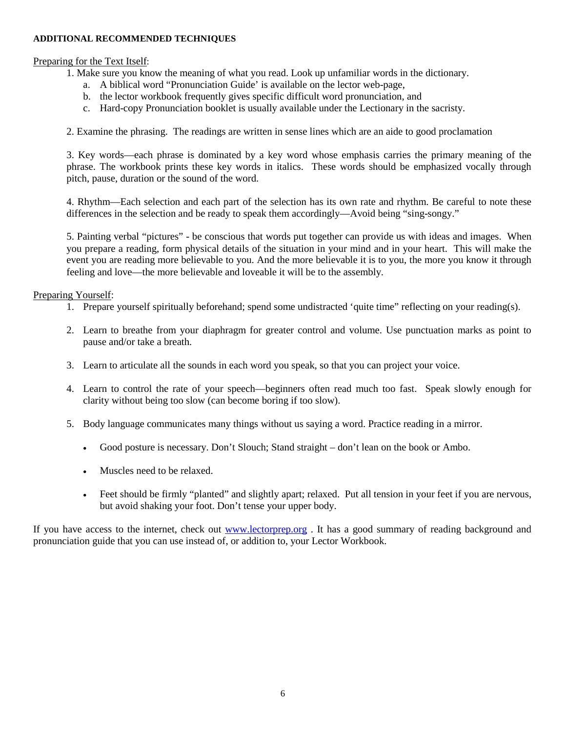#### **ADDITIONAL RECOMMENDED TECHNIQUES**

### Preparing for the Text Itself:

1. Make sure you know the meaning of what you read. Look up unfamiliar words in the dictionary.

- a. A biblical word "Pronunciation Guide' is available on the lector web-page,
- b. the lector workbook frequently gives specific difficult word pronunciation, and
- c. Hard-copy Pronunciation booklet is usually available under the Lectionary in the sacristy.

2. Examine the phrasing. The readings are written in sense lines which are an aide to good proclamation

3. Key words—each phrase is dominated by a key word whose emphasis carries the primary meaning of the phrase. The workbook prints these key words in italics. These words should be emphasized vocally through pitch, pause, duration or the sound of the word.

4. Rhythm—Each selection and each part of the selection has its own rate and rhythm. Be careful to note these differences in the selection and be ready to speak them accordingly—Avoid being "sing-songy."

5. Painting verbal "pictures" - be conscious that words put together can provide us with ideas and images. When you prepare a reading, form physical details of the situation in your mind and in your heart. This will make the event you are reading more believable to you. And the more believable it is to you, the more you know it through feeling and love—the more believable and loveable it will be to the assembly.

#### Preparing Yourself:

- 1. Prepare yourself spiritually beforehand; spend some undistracted 'quite time" reflecting on your reading(s).
- 2. Learn to breathe from your diaphragm for greater control and volume. Use punctuation marks as point to pause and/or take a breath.
- 3. Learn to articulate all the sounds in each word you speak, so that you can project your voice.
- 4. Learn to control the rate of your speech—beginners often read much too fast. Speak slowly enough for clarity without being too slow (can become boring if too slow).
- 5. Body language communicates many things without us saying a word. Practice reading in a mirror.
	- Good posture is necessary. Don't Slouch; Stand straight don't lean on the book or Ambo.
	- Muscles need to be relaxed.
	- Feet should be firmly "planted" and slightly apart; relaxed. Put all tension in your feet if you are nervous, but avoid shaking your foot. Don't tense your upper body.

If you have access to the internet, check out [www.lectorprep.org](http://www.lectorprep.org/) . It has a good summary of reading background and pronunciation guide that you can use instead of, or addition to, your Lector Workbook.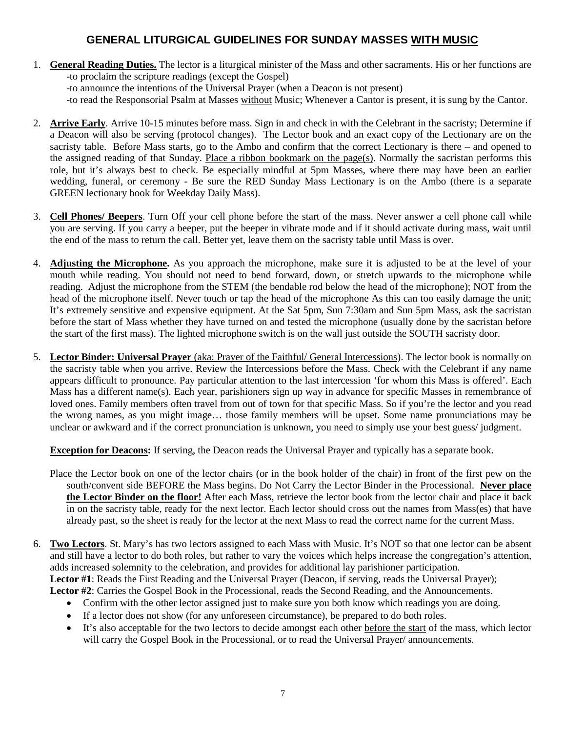# **GENERAL LITURGICAL GUIDELINES FOR SUNDAY MASSES WITH MUSIC**

1. **General Reading Duties.** The lector is a liturgical minister of the Mass and other sacraments. His or her functions are -to proclaim the scripture readings (except the Gospel)

-to announce the intentions of the Universal Prayer (when a Deacon is not present)

-to read the Responsorial Psalm at Masses without Music; Whenever a Cantor is present, it is sung by the Cantor.

- 2. **Arrive Early**. Arrive 10-15 minutes before mass. Sign in and check in with the Celebrant in the sacristy; Determine if a Deacon will also be serving (protocol changes). The Lector book and an exact copy of the Lectionary are on the sacristy table. Before Mass starts, go to the Ambo and confirm that the correct Lectionary is there – and opened to the assigned reading of that Sunday. Place a ribbon bookmark on the page(s). Normally the sacristan performs this role, but it's always best to check. Be especially mindful at 5pm Masses, where there may have been an earlier wedding, funeral, or ceremony - Be sure the RED Sunday Mass Lectionary is on the Ambo (there is a separate GREEN lectionary book for Weekday Daily Mass).
- 3. **Cell Phones/ Beepers**. Turn Off your cell phone before the start of the mass. Never answer a cell phone call while you are serving. If you carry a beeper, put the beeper in vibrate mode and if it should activate during mass, wait until the end of the mass to return the call. Better yet, leave them on the sacristy table until Mass is over.
- 4. **Adjusting the Microphone.** As you approach the microphone, make sure it is adjusted to be at the level of your mouth while reading. You should not need to bend forward, down, or stretch upwards to the microphone while reading. Adjust the microphone from the STEM (the bendable rod below the head of the microphone); NOT from the head of the microphone itself. Never touch or tap the head of the microphone As this can too easily damage the unit; It's extremely sensitive and expensive equipment. At the Sat 5pm, Sun 7:30am and Sun 5pm Mass, ask the sacristan before the start of Mass whether they have turned on and tested the microphone (usually done by the sacristan before the start of the first mass). The lighted microphone switch is on the wall just outside the SOUTH sacristy door.
- 5. **Lector Binder: Universal Prayer** (aka: Prayer of the Faithful/ General Intercessions). The lector book is normally on the sacristy table when you arrive. Review the Intercessions before the Mass. Check with the Celebrant if any name appears difficult to pronounce. Pay particular attention to the last intercession 'for whom this Mass is offered'. Each Mass has a different name(s). Each year, parishioners sign up way in advance for specific Masses in remembrance of loved ones. Family members often travel from out of town for that specific Mass. So if you're the lector and you read the wrong names, as you might image… those family members will be upset. Some name pronunciations may be unclear or awkward and if the correct pronunciation is unknown, you need to simply use your best guess/ judgment.

**Exception for Deacons:** If serving, the Deacon reads the Universal Prayer and typically has a separate book.

- Place the Lector book on one of the lector chairs (or in the book holder of the chair) in front of the first pew on the south/convent side BEFORE the Mass begins. Do Not Carry the Lector Binder in the Processional. **Never place the Lector Binder on the floor!** After each Mass, retrieve the lector book from the lector chair and place it back in on the sacristy table, ready for the next lector. Each lector should cross out the names from Mass(es) that have already past, so the sheet is ready for the lector at the next Mass to read the correct name for the current Mass.
- 6. **Two Lectors**. St. Mary's has two lectors assigned to each Mass with Music. It's NOT so that one lector can be absent and still have a lector to do both roles, but rather to vary the voices which helps increase the congregation's attention, adds increased solemnity to the celebration, and provides for additional lay parishioner participation. **Lector #1**: Reads the First Reading and the Universal Prayer (Deacon, if serving, reads the Universal Prayer);

**Lector #2**: Carries the Gospel Book in the Processional, reads the Second Reading, and the Announcements.

- Confirm with the other lector assigned just to make sure you both know which readings you are doing.
- If a lector does not show (for any unforeseen circumstance), be prepared to do both roles.
- It's also acceptable for the two lectors to decide amongst each other before the start of the mass, which lector will carry the Gospel Book in the Processional, or to read the Universal Prayer/ announcements.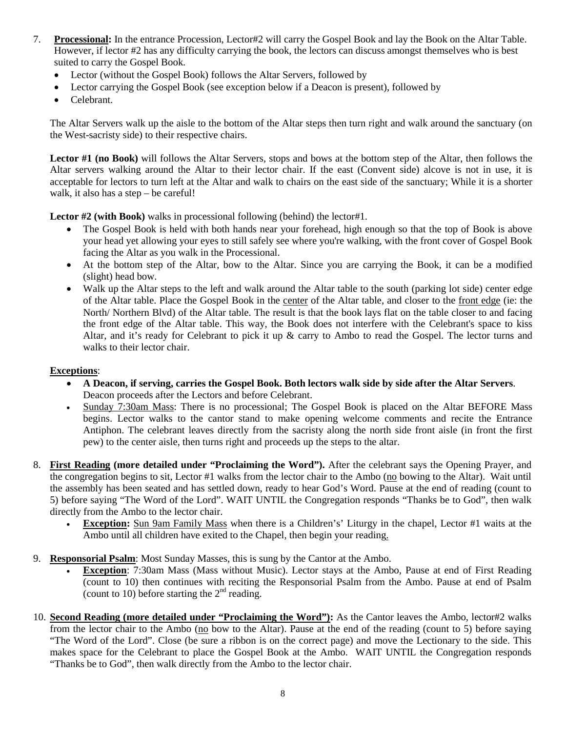- 7. **Processional:** In the entrance Procession, Lector#2 will carry the Gospel Book and lay the Book on the Altar Table. However, if lector #2 has any difficulty carrying the book, the lectors can discuss amongst themselves who is best suited to carry the Gospel Book.
	- Lector (without the Gospel Book) follows the Altar Servers, followed by
	- Lector carrying the Gospel Book (see exception below if a Deacon is present), followed by
	- Celebrant.

The Altar Servers walk up the aisle to the bottom of the Altar steps then turn right and walk around the sanctuary (on the West-sacristy side) to their respective chairs.

**Lector #1 (no Book)** will follows the Altar Servers, stops and bows at the bottom step of the Altar, then follows the Altar servers walking around the Altar to their lector chair. If the east (Convent side) alcove is not in use, it is acceptable for lectors to turn left at the Altar and walk to chairs on the east side of the sanctuary; While it is a shorter walk, it also has a step – be careful!

**Lector #2 (with Book)** walks in processional following (behind) the lector#1.

- The Gospel Book is held with both hands near your forehead, high enough so that the top of Book is above your head yet allowing your eyes to still safely see where you're walking, with the front cover of Gospel Book facing the Altar as you walk in the Processional.
- At the bottom step of the Altar, bow to the Altar. Since you are carrying the Book, it can be a modified (slight) head bow.
- Walk up the Altar steps to the left and walk around the Altar table to the south (parking lot side) center edge of the Altar table. Place the Gospel Book in the center of the Altar table, and closer to the front edge (ie: the North/ Northern Blvd) of the Altar table. The result is that the book lays flat on the table closer to and facing the front edge of the Altar table. This way, the Book does not interfere with the Celebrant's space to kiss Altar, and it's ready for Celebrant to pick it up & carry to Ambo to read the Gospel. The lector turns and walks to their lector chair.

# **Exceptions**:

- **A Deacon, if serving, carries the Gospel Book. Both lectors walk side by side after the Altar Servers**. Deacon proceeds after the Lectors and before Celebrant.
- Sunday 7:30am Mass: There is no processional; The Gospel Book is placed on the Altar BEFORE Mass begins. Lector walks to the cantor stand to make opening welcome comments and recite the Entrance Antiphon. The celebrant leaves directly from the sacristy along the north side front aisle (in front the first pew) to the center aisle, then turns right and proceeds up the steps to the altar.
- 8. **First Reading (more detailed under "Proclaiming the Word").** After the celebrant says the Opening Prayer, and the congregation begins to sit, Lector #1 walks from the lector chair to the Ambo (no bowing to the Altar). Wait until the assembly has been seated and has settled down, ready to hear God's Word. Pause at the end of reading (count to 5) before saying "The Word of the Lord". WAIT UNTIL the Congregation responds "Thanks be to God", then walk directly from the Ambo to the lector chair.
	- **Exception:** Sun 9am Family Mass when there is a Children's' Liturgy in the chapel, Lector #1 waits at the Ambo until all children have exited to the Chapel, then begin your reading.
- 9. **Responsorial Psalm**: Most Sunday Masses, this is sung by the Cantor at the Ambo.
	- **Exception**: 7:30am Mass (Mass without Music). Lector stays at the Ambo, Pause at end of First Reading (count to 10) then continues with reciting the Responsorial Psalm from the Ambo. Pause at end of Psalm (count to 10) before starting the  $2<sup>nd</sup>$  reading.
- 10. **Second Reading (more detailed under "Proclaiming the Word"):** As the Cantor leaves the Ambo, lector#2 walks from the lector chair to the Ambo (no bow to the Altar). Pause at the end of the reading (count to 5) before saying "The Word of the Lord". Close (be sure a ribbon is on the correct page) and move the Lectionary to the side. This makes space for the Celebrant to place the Gospel Book at the Ambo. WAIT UNTIL the Congregation responds "Thanks be to God", then walk directly from the Ambo to the lector chair.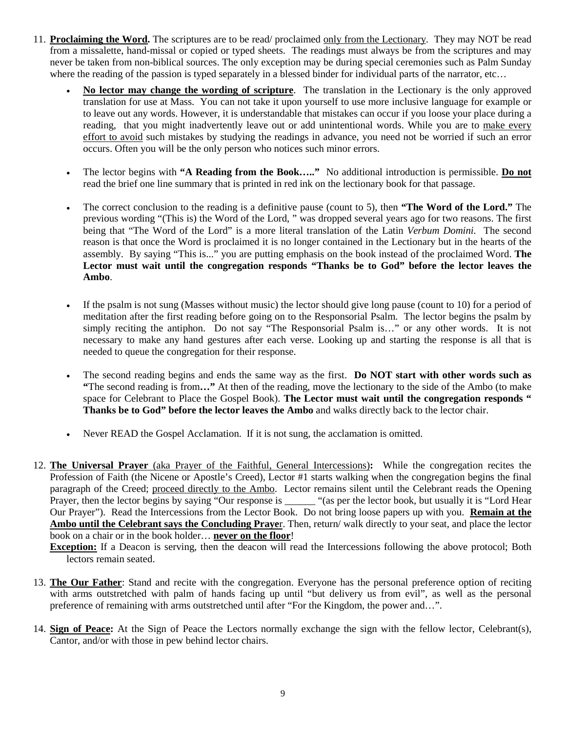- 11. **Proclaiming the Word.** The scriptures are to be read/ proclaimed only from the Lectionary. They may NOT be read from a missalette, hand-missal or copied or typed sheets. The readings must always be from the scriptures and may never be taken from non-biblical sources. The only exception may be during special ceremonies such as Palm Sunday where the reading of the passion is typed separately in a blessed binder for individual parts of the narrator, etc...
	- **No lector may change the wording of scripture**. The translation in the Lectionary is the only approved translation for use at Mass. You can not take it upon yourself to use more inclusive language for example or to leave out any words. However, it is understandable that mistakes can occur if you loose your place during a reading, that you might inadvertently leave out or add unintentional words. While you are to make every effort to avoid such mistakes by studying the readings in advance, you need not be worried if such an error occurs. Often you will be the only person who notices such minor errors.
	- The lector begins with **"A Reading from the Book….."** No additional introduction is permissible. **Do not** read the brief one line summary that is printed in red ink on the lectionary book for that passage.
	- The correct conclusion to the reading is a definitive pause (count to 5), then **"The Word of the Lord."** The previous wording "(This is) the Word of the Lord, " was dropped several years ago for two reasons. The first being that "The Word of the Lord" is a more literal translation of the Latin *Verbum Domini.* The second reason is that once the Word is proclaimed it is no longer contained in the Lectionary but in the hearts of the assembly. By saying "This is..." you are putting emphasis on the book instead of the proclaimed Word. **The Lector must wait until the congregation responds "Thanks be to God" before the lector leaves the Ambo**.
	- If the psalm is not sung (Masses without music) the lector should give long pause (count to 10) for a period of meditation after the first reading before going on to the Responsorial Psalm. The lector begins the psalm by simply reciting the antiphon. Do not say "The Responsorial Psalm is…" or any other words. It is not necessary to make any hand gestures after each verse. Looking up and starting the response is all that is needed to queue the congregation for their response.
	- The second reading begins and ends the same way as the first. **Do NOT start with other words such as "**The second reading is from**…"** At then of the reading, move the lectionary to the side of the Ambo (to make space for Celebrant to Place the Gospel Book). **The Lector must wait until the congregation responds " Thanks be to God" before the lector leaves the Ambo** and walks directly back to the lector chair.
	- Never READ the Gospel Acclamation. If it is not sung, the acclamation is omitted.
- 12. **The Universal Prayer** (aka Prayer of the Faithful, General Intercessions)**:** While the congregation recites the Profession of Faith (the Nicene or Apostle's Creed), Lector #1 starts walking when the congregation begins the final paragraph of the Creed; proceed directly to the Ambo. Lector remains silent until the Celebrant reads the Opening Prayer, then the lector begins by saying "Our response is \_\_\_\_\_\_ "(as per the lector book, but usually it is "Lord Hear Our Prayer"). Read the Intercessions from the Lector Book. Do not bring loose papers up with you. **Remain at the Ambo until the Celebrant says the Concluding Praye**r. Then, return/ walk directly to your seat, and place the lector book on a chair or in the book holder… **never on the floor**!

**Exception:** If a Deacon is serving, then the deacon will read the Intercessions following the above protocol; Both lectors remain seated.

- 13. **The Our Father**: Stand and recite with the congregation. Everyone has the personal preference option of reciting with arms outstretched with palm of hands facing up until "but delivery us from evil", as well as the personal preference of remaining with arms outstretched until after "For the Kingdom, the power and…".
- 14. **Sign of Peace:** At the Sign of Peace the Lectors normally exchange the sign with the fellow lector, Celebrant(s), Cantor, and/or with those in pew behind lector chairs.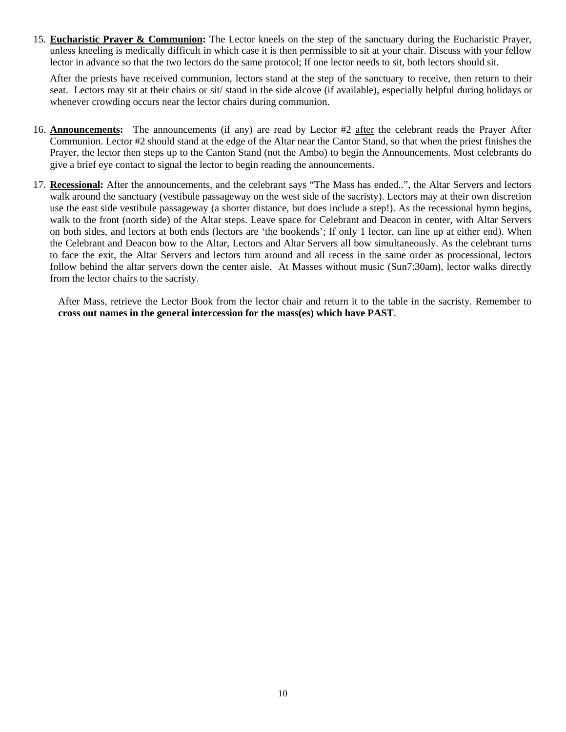15. **Eucharistic Prayer & Communion:** The Lector kneels on the step of the sanctuary during the Eucharistic Prayer, unless kneeling is medically difficult in which case it is then permissible to sit at your chair. Discuss with your fellow lector in advance so that the two lectors do the same protocol; If one lector needs to sit, both lectors should sit.

After the priests have received communion, lectors stand at the step of the sanctuary to receive, then return to their seat. Lectors may sit at their chairs or sit/ stand in the side alcove (if available), especially helpful during holidays or whenever crowding occurs near the lector chairs during communion.

- 16. **Announcements:** The announcements (if any) are read by Lector #2 after the celebrant reads the Prayer After Communion. Lector #2 should stand at the edge of the Altar near the Cantor Stand, so that when the priest finishes the Prayer, the lector then steps up to the Canton Stand (not the Ambo) to begin the Announcements. Most celebrants do give a brief eye contact to signal the lector to begin reading the announcements.
- 17. **Recessional:** After the announcements, and the celebrant says "The Mass has ended..", the Altar Servers and lectors walk around the sanctuary (vestibule passageway on the west side of the sacristy). Lectors may at their own discretion use the east side vestibule passageway (a shorter distance, but does include a step!). As the recessional hymn begins, walk to the front (north side) of the Altar steps. Leave space for Celebrant and Deacon in center, with Altar Servers on both sides, and lectors at both ends (lectors are 'the bookends'; If only 1 lector, can line up at either end). When the Celebrant and Deacon bow to the Altar, Lectors and Altar Servers all bow simultaneously. As the celebrant turns to face the exit, the Altar Servers and lectors turn around and all recess in the same order as processional, lectors follow behind the altar servers down the center aisle. At Masses without music (Sun7:30am), lector walks directly from the lector chairs to the sacristy.

After Mass, retrieve the Lector Book from the lector chair and return it to the table in the sacristy. Remember to **cross out names in the general intercession for the mass(es) which have PAST**.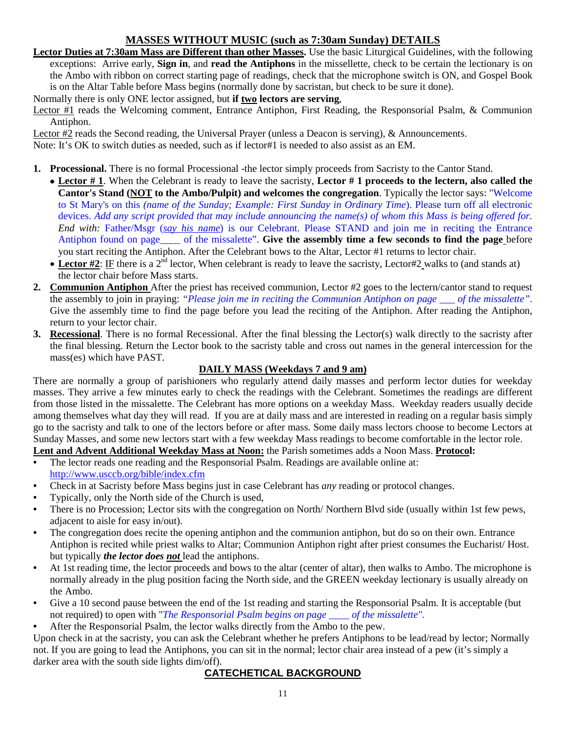# **MASSES WITHOUT MUSIC (such as 7:30am Sunday) DETAILS**

**Lector Duties at 7:30am Mass are Different than other Masses.** Use the basic Liturgical Guidelines, with the following exceptions: Arrive early, **Sign in**, and **read the Antiphons** in the missellette, check to be certain the lectionary is on the Ambo with ribbon on correct starting page of readings, check that the microphone switch is ON, and Gospel Book is on the Altar Table before Mass begins (normally done by sacristan, but check to be sure it done).

Normally there is only ONE lector assigned, but **if two lectors are serving**,

Lector #1 reads the Welcoming comment, Entrance Antiphon, First Reading, the Responsorial Psalm, & Communion Antiphon.

Lector #2 reads the Second reading, the Universal Prayer (unless a Deacon is serving), & Announcements.

Note: It's OK to switch duties as needed, such as if lector#1 is needed to also assist as an EM.

- **1. Processional.** There is no formal Processional -the lector simply proceeds from Sacristy to the Cantor Stand.
	- **Lector # 1**. When the Celebrant is ready to leave the sacristy, **Lector # 1 proceeds to the lectern, also called the Cantor's Stand (NOT to the Ambo/Pulpit) and welcomes the congregation**. Typically the lector says: "Welcome to St Mary's on this *(name of the Sunday; Example: First Sunday in Ordinary Time*). Please turn off all electronic devices. *Add any script provided that may include announcing the name(s) of whom this Mass is being offered for. End with:* Father/Msgr (*say his name*) is our Celebrant. Please STAND and join me in reciting the Entrance Antiphon found on page\_\_\_\_ of the missalette". **Give the assembly time a few seconds to find the page** before you start reciting the Antiphon. After the Celebrant bows to the Altar, Lector #1 returns to lector chair.
		- Lector #2: IF there is a 2<sup>nd</sup> lector, When celebrant is ready to leave the sacristy, Lector#2 walks to (and stands at) the lector chair before Mass starts.
- **2. Communion Antiphon** After the priest has received communion, Lector #2 goes to the lectern/cantor stand to request the assembly to join in praying: *"Please join me in reciting the Communion Antiphon on page \_\_\_ of the missalette"*. Give the assembly time to find the page before you lead the reciting of the Antiphon. After reading the Antiphon, return to your lector chair.
- **3. Recessional**. There is no formal Recessional. After the final blessing the Lector(s) walk directly to the sacristy after the final blessing. Return the Lector book to the sacristy table and cross out names in the general intercession for the mass(es) which have PAST.

# **DAILY MASS (Weekdays 7 and 9 am)**

There are normally a group of parishioners who regularly attend daily masses and perform lector duties for weekday masses. They arrive a few minutes early to check the readings with the Celebrant. Sometimes the readings are different from those listed in the missalette. The Celebrant has more options on a weekday Mass. Weekday readers usually decide among themselves what day they will read. If you are at daily mass and are interested in reading on a regular basis simply go to the sacristy and talk to one of the lectors before or after mass. Some daily mass lectors choose to become Lectors at Sunday Masses, and some new lectors start with a few weekday Mass readings to become comfortable in the lector role.

**Lent and Advent Additional Weekday Mass at Noon:** the Parish sometimes adds a Noon Mass. **Protocol:**

- The lector reads one reading and the Responsorial Psalm. Readings are available online at: <http://www.usccb.org/bible/index.cfm>
- Check in at Sacristy before Mass begins just in case Celebrant has *any* reading or protocol changes.
- Typically, only the North side of the Church is used,
- There is no Procession; Lector sits with the congregation on North/Northern Blvd side (usually within 1st few pews, adjacent to aisle for easy in/out).
- The congregation does recite the opening antiphon and the communion antiphon, but do so on their own. Entrance Antiphon is recited while priest walks to Altar; Communion Antiphon right after priest consumes the Eucharist/ Host. but typically *the lector does not* lead the antiphons.
- At 1st reading time, the lector proceeds and bows to the altar (center of altar), then walks to Ambo. The microphone is normally already in the plug position facing the North side, and the GREEN weekday lectionary is usually already on the Ambo.
- Give a 10 second pause between the end of the 1st reading and starting the Responsorial Psalm. It is acceptable (but not required) to open with "*The Responsorial Psalm begins on page \_\_\_\_ of the missalette".*
- After the Responsorial Psalm, the lector walks directly from the Ambo to the pew.

Upon check in at the sacristy, you can ask the Celebrant whether he prefers Antiphons to be lead/read by lector; Normally not. If you are going to lead the Antiphons, you can sit in the normal; lector chair area instead of a pew (it's simply a darker area with the south side lights dim/off).

# **CATECHETICAL BACKGROUND**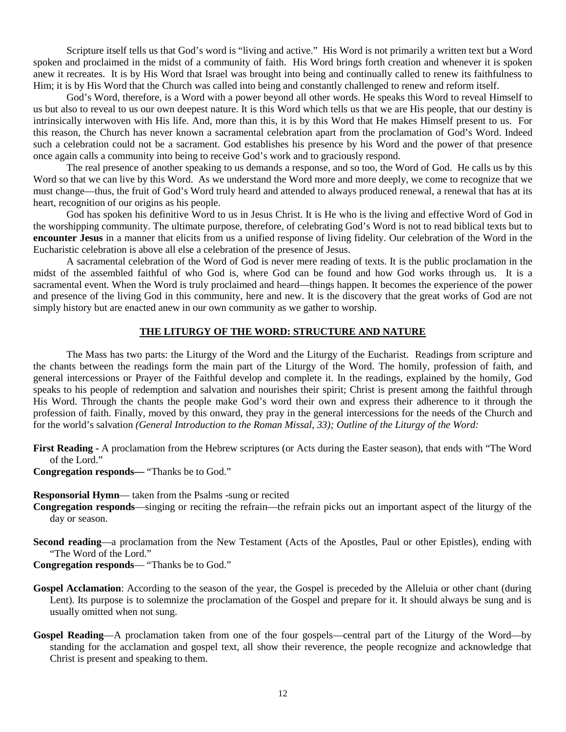Scripture itself tells us that God's word is "living and active." His Word is not primarily a written text but a Word spoken and proclaimed in the midst of a community of faith. His Word brings forth creation and whenever it is spoken anew it recreates. It is by His Word that Israel was brought into being and continually called to renew its faithfulness to Him; it is by His Word that the Church was called into being and constantly challenged to renew and reform itself.

God's Word, therefore, is a Word with a power beyond all other words. He speaks this Word to reveal Himself to us but also to reveal to us our own deepest nature. It is this Word which tells us that we are His people, that our destiny is intrinsically interwoven with His life. And, more than this, it is by this Word that He makes Himself present to us. For this reason, the Church has never known a sacramental celebration apart from the proclamation of God's Word. Indeed such a celebration could not be a sacrament. God establishes his presence by his Word and the power of that presence once again calls a community into being to receive God's work and to graciously respond.

The real presence of another speaking to us demands a response, and so too, the Word of God. He calls us by this Word so that we can live by this Word. As we understand the Word more and more deeply, we come to recognize that we must change—thus, the fruit of God's Word truly heard and attended to always produced renewal, a renewal that has at its heart, recognition of our origins as his people.

God has spoken his definitive Word to us in Jesus Christ. It is He who is the living and effective Word of God in the worshipping community. The ultimate purpose, therefore, of celebrating God's Word is not to read biblical texts but to **encounter Jesus** in a manner that elicits from us a unified response of living fidelity. Our celebration of the Word in the Eucharistic celebration is above all else a celebration of the presence of Jesus.

A sacramental celebration of the Word of God is never mere reading of texts. It is the public proclamation in the midst of the assembled faithful of who God is, where God can be found and how God works through us. It is a sacramental event. When the Word is truly proclaimed and heard—things happen. It becomes the experience of the power and presence of the living God in this community, here and new. It is the discovery that the great works of God are not simply history but are enacted anew in our own community as we gather to worship.

#### **THE LITURGY OF THE WORD: STRUCTURE AND NATURE**

The Mass has two parts: the Liturgy of the Word and the Liturgy of the Eucharist. Readings from scripture and the chants between the readings form the main part of the Liturgy of the Word. The homily, profession of faith, and general intercessions or Prayer of the Faithful develop and complete it. In the readings, explained by the homily, God speaks to his people of redemption and salvation and nourishes their spirit; Christ is present among the faithful through His Word. Through the chants the people make God's word their own and express their adherence to it through the profession of faith. Finally, moved by this onward, they pray in the general intercessions for the needs of the Church and for the world's salvation *(General Introduction to the Roman Missal, 33); Outline of the Liturgy of the Word:*

**First Reading -** A proclamation from the Hebrew scriptures (or Acts during the Easter season), that ends with "The Word of the Lord."

**Congregation responds—** "Thanks be to God."

**Responsorial Hymn**— taken from the Psalms -sung or recited

- **Congregation responds**—singing or reciting the refrain—the refrain picks out an important aspect of the liturgy of the day or season.
- **Second reading**—a proclamation from the New Testament (Acts of the Apostles, Paul or other Epistles), ending with "The Word of the Lord."

**Congregation responds**— "Thanks be to God."

- **Gospel Acclamation**: According to the season of the year, the Gospel is preceded by the Alleluia or other chant (during Lent). Its purpose is to solemnize the proclamation of the Gospel and prepare for it. It should always be sung and is usually omitted when not sung.
- **Gospel Reading**—A proclamation taken from one of the four gospels—central part of the Liturgy of the Word—by standing for the acclamation and gospel text, all show their reverence, the people recognize and acknowledge that Christ is present and speaking to them.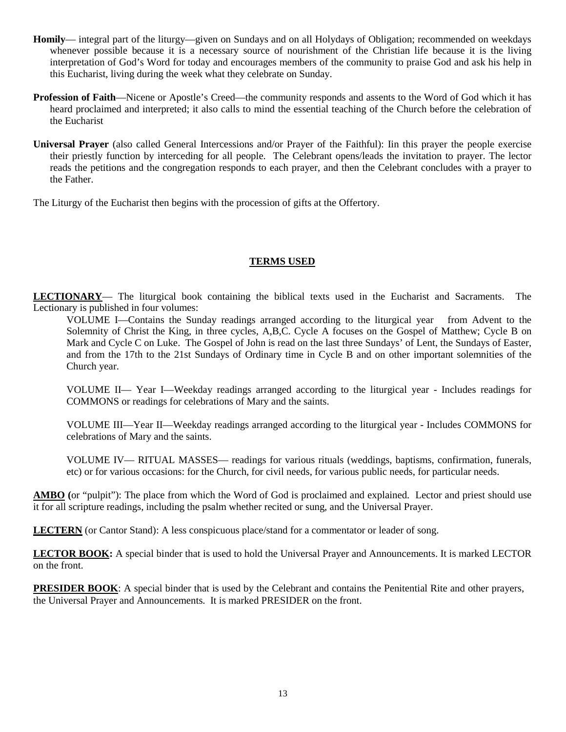- **Homily** integral part of the liturgy—given on Sundays and on all Holydays of Obligation; recommended on weekdays whenever possible because it is a necessary source of nourishment of the Christian life because it is the living interpretation of God's Word for today and encourages members of the community to praise God and ask his help in this Eucharist, living during the week what they celebrate on Sunday.
- **Profession of Faith**—Nicene or Apostle's Creed—the community responds and assents to the Word of God which it has heard proclaimed and interpreted; it also calls to mind the essential teaching of the Church before the celebration of the Eucharist
- **Universal Prayer** (also called General Intercessions and/or Prayer of the Faithful): Iin this prayer the people exercise their priestly function by interceding for all people. The Celebrant opens/leads the invitation to prayer. The lector reads the petitions and the congregation responds to each prayer, and then the Celebrant concludes with a prayer to the Father.

The Liturgy of the Eucharist then begins with the procession of gifts at the Offertory.

# **TERMS USED**

**LECTIONARY**— The liturgical book containing the biblical texts used in the Eucharist and Sacraments. The Lectionary is published in four volumes:

VOLUME I—Contains the Sunday readings arranged according to the liturgical year from Advent to the Solemnity of Christ the King, in three cycles, A,B,C. Cycle A focuses on the Gospel of Matthew; Cycle B on Mark and Cycle C on Luke. The Gospel of John is read on the last three Sundays' of Lent, the Sundays of Easter, and from the 17th to the 21st Sundays of Ordinary time in Cycle B and on other important solemnities of the Church year.

VOLUME II— Year I—Weekday readings arranged according to the liturgical year - Includes readings for COMMONS or readings for celebrations of Mary and the saints.

VOLUME III—Year II—Weekday readings arranged according to the liturgical year - Includes COMMONS for celebrations of Mary and the saints.

VOLUME IV— RITUAL MASSES— readings for various rituals (weddings, baptisms, confirmation, funerals, etc) or for various occasions: for the Church, for civil needs, for various public needs, for particular needs.

**AMBO (**or "pulpit"): The place from which the Word of God is proclaimed and explained. Lector and priest should use it for all scripture readings, including the psalm whether recited or sung, and the Universal Prayer.

**LECTERN** (or Cantor Stand): A less conspicuous place/stand for a commentator or leader of song.

**LECTOR BOOK:** A special binder that is used to hold the Universal Prayer and Announcements. It is marked LECTOR on the front.

**PRESIDER BOOK:** A special binder that is used by the Celebrant and contains the Penitential Rite and other prayers, the Universal Prayer and Announcements. It is marked PRESIDER on the front.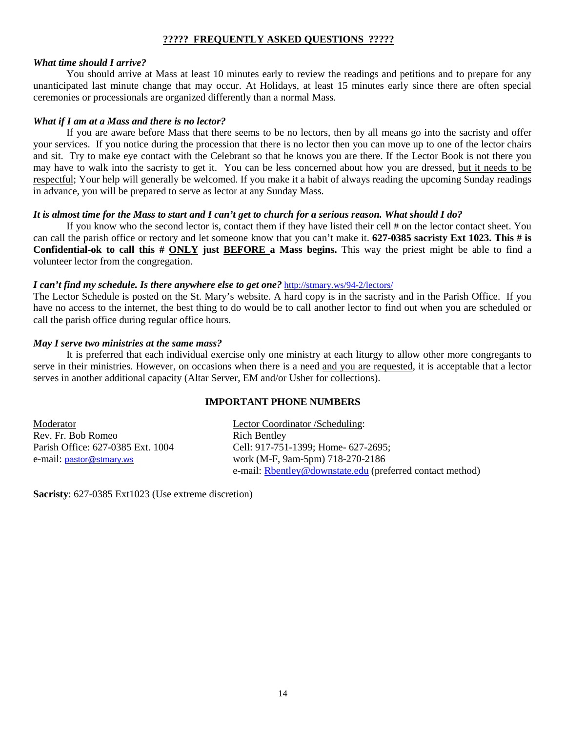#### **????? FREQUENTLY ASKED QUESTIONS ?????**

#### *What time should I arrive?*

You should arrive at Mass at least 10 minutes early to review the readings and petitions and to prepare for any unanticipated last minute change that may occur. At Holidays, at least 15 minutes early since there are often special ceremonies or processionals are organized differently than a normal Mass.

#### *What if I am at a Mass and there is no lector?*

If you are aware before Mass that there seems to be no lectors, then by all means go into the sacristy and offer your services. If you notice during the procession that there is no lector then you can move up to one of the lector chairs and sit. Try to make eye contact with the Celebrant so that he knows you are there. If the Lector Book is not there you may have to walk into the sacristy to get it. You can be less concerned about how you are dressed, but it needs to be respectful; Your help will generally be welcomed. If you make it a habit of always reading the upcoming Sunday readings in advance, you will be prepared to serve as lector at any Sunday Mass.

#### *It is almost time for the Mass to start and I can't get to church for a serious reason. What should I do?*

If you know who the second lector is, contact them if they have listed their cell # on the lector contact sheet. You can call the parish office or rectory and let someone know that you can't make it. **627-0385 sacristy Ext 1023. This # is Confidential-ok to call this # ONLY just BEFORE a Mass begins.** This way the priest might be able to find a volunteer lector from the congregation.

#### *I can't find my schedule. Is there anywhere else to get one?* <http://stmary.ws/94-2/lectors/>

The Lector Schedule is posted on the St. Mary's website. A hard copy is in the sacristy and in the Parish Office. If you have no access to the internet, the best thing to do would be to call another lector to find out when you are scheduled or call the parish office during regular office hours.

#### *May I serve two ministries at the same mass?*

It is preferred that each individual exercise only one ministry at each liturgy to allow other more congregants to serve in their ministries. However, on occasions when there is a need and you are requested, it is acceptable that a lector serves in another additional capacity (Altar Server, EM and/or Usher for collections).

#### **IMPORTANT PHONE NUMBERS**

| Moderator                         | Lector Coordinator / Scheduling:                          |
|-----------------------------------|-----------------------------------------------------------|
| Rev. Fr. Bob Romeo                | <b>Rich Bentley</b>                                       |
| Parish Office: 627-0385 Ext. 1004 | Cell: 917-751-1399; Home- 627-2695;                       |
| e-mail: pastor@stmary.ws          | work (M-F, 9am-5pm) 718-270-2186                          |
|                                   | e-mail: Rbentley@downstate.edu (preferred contact method) |

**Sacristy**: 627-0385 Ext1023 (Use extreme discretion)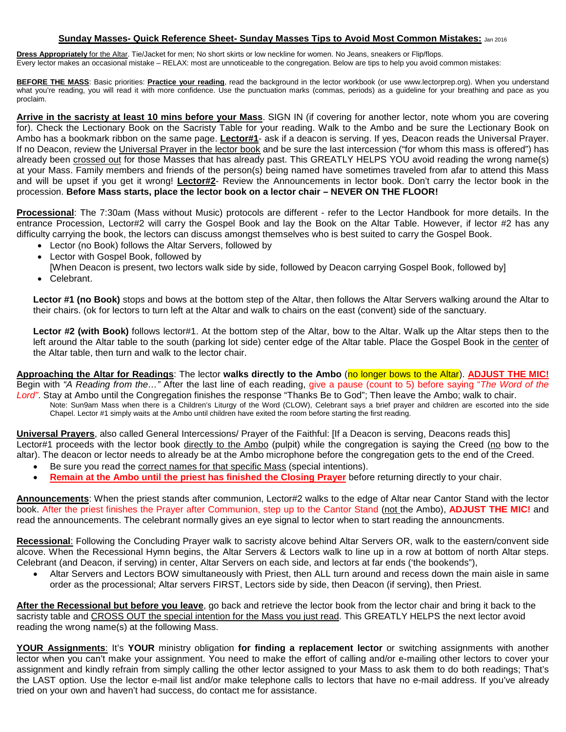#### **Sunday Masses- Quick Reference Sheet- Sunday Masses Tips to Avoid Most Common Mistakes:** Jan 2016

**Dress Appropriately** for the Altar. Tie/Jacket for men; No short skirts or low neckline for women. No Jeans, sneakers or Flip/flops. Every lector makes an occasional mistake – RELAX: most are unnoticeable to the congregation. Below are tips to help you avoid common mistakes:

**BEFORE THE MASS**: Basic priorities: **Practice your reading**, read the background in the lector workbook (or use www.lectorprep.org). When you understand what you're reading, you will read it with more confidence. Use the punctuation marks (commas, periods) as a guideline for your breathing and pace as you proclaim.

**Arrive in the sacristy at least 10 mins before your Mass**. SIGN IN (if covering for another lector, note whom you are covering for). Check the Lectionary Book on the Sacristy Table for your reading. Walk to the Ambo and be sure the Lectionary Book on Ambo has a bookmark ribbon on the same page. **Lector#1**- ask if a deacon is serving. If yes, Deacon reads the Universal Prayer. If no Deacon, review the Universal Prayer in the lector book and be sure the last intercession ("for whom this mass is offered") has already been crossed out for those Masses that has already past. This GREATLY HELPS YOU avoid reading the wrong name(s) at your Mass. Family members and friends of the person(s) being named have sometimes traveled from afar to attend this Mass and will be upset if you get it wrong! **Lector#2**- Review the Announcements in lector book. Don't carry the lector book in the procession. **Before Mass starts, place the lector book on a lector chair – NEVER ON THE FLOOR!** 

**Processional**: The 7:30am (Mass without Music) protocols are different - refer to the Lector Handbook for more details. In the entrance Procession, Lector#2 will carry the Gospel Book and lay the Book on the Altar Table. However, if lector #2 has any difficulty carrying the book, the lectors can discuss amongst themselves who is best suited to carry the Gospel Book.

- Lector (no Book) follows the Altar Servers, followed by
- Lector with Gospel Book, followed by [When Deacon is present, two lectors walk side by side, followed by Deacon carrying Gospel Book, followed by]
- Celebrant.

**Lector #1 (no Book)** stops and bows at the bottom step of the Altar, then follows the Altar Servers walking around the Altar to their chairs. (ok for lectors to turn left at the Altar and walk to chairs on the east (convent) side of the sanctuary.

Lector #2 (with Book) follows lector#1. At the bottom step of the Altar, bow to the Altar. Walk up the Altar steps then to the left around the Altar table to the south (parking lot side) center edge of the Altar table. Place the Gospel Book in the center of the Altar table, then turn and walk to the lector chair.

**Approaching the Altar for Readings**: The lector **walks directly to the Ambo** (no longer bows to the Altar). **ADJUST THE MIC!** Begin with *"A Reading from the…"* After the last line of each reading, give a pause (count to 5) before saying "*The Word of the* 

*Lord"*. Stay at Ambo until the Congregation finishes the response "Thanks Be to God"; Then leave the Ambo; walk to chair. Note: Sun9am Mass when there is a Children's Liturgy of the Word (CLOW), Celebrant says a brief prayer and children are escorted into the side Chapel. Lector #1 simply waits at the Ambo until children have exited the room before starting the first reading.

**Universal Prayers**, also called General Intercessions/ Prayer of the Faithful: [If a Deacon is serving, Deacons reads this] Lector#1 proceeds with the lector book directly to the Ambo (pulpit) while the congregation is saying the Creed (no bow to the altar). The deacon or lector needs to already be at the Ambo microphone before the congregation gets to the end of the Creed.

- Be sure you read the correct names for that specific Mass (special intentions).
- **Remain at the Ambo until the priest has finished the Closing Prayer** before returning directly to your chair.

**Announcements**: When the priest stands after communion, Lector#2 walks to the edge of Altar near Cantor Stand with the lector book. After the priest finishes the Prayer after Communion, step up to the Cantor Stand (not the Ambo), **ADJUST THE MIC!** and read the announcements. The celebrant normally gives an eye signal to lector when to start reading the announcments.

**Recessional**: Following the Concluding Prayer walk to sacristy alcove behind Altar Servers OR, walk to the eastern/convent side alcove. When the Recessional Hymn begins, the Altar Servers & Lectors walk to line up in a row at bottom of north Altar steps. Celebrant (and Deacon, if serving) in center, Altar Servers on each side, and lectors at far ends ('the bookends"),

• Altar Servers and Lectors BOW simultaneously with Priest, then ALL turn around and recess down the main aisle in same order as the processional; Altar servers FIRST, Lectors side by side, then Deacon (if serving), then Priest.

**After the Recessional but before you leave**, go back and retrieve the lector book from the lector chair and bring it back to the sacristy table and CROSS OUT the special intention for the Mass you just read. This GREATLY HELPS the next lector avoid reading the wrong name(s) at the following Mass.

**YOUR Assignments**: It's **YOUR** ministry obligation **for finding a replacement lector** or switching assignments with another lector when you can't make your assignment. You need to make the effort of calling and/or e-mailing other lectors to cover your assignment and kindly refrain from simply calling the other lector assigned to your Mass to ask them to do both readings; That's the LAST option. Use the lector e-mail list and/or make telephone calls to lectors that have no e-mail address. If you've already tried on your own and haven't had success, do contact me for assistance.